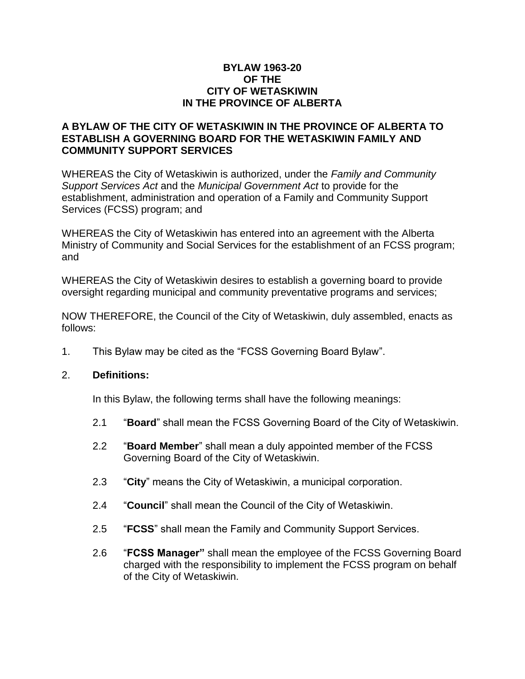### **BYLAW 1963-20 OF THE CITY OF WETASKIWIN IN THE PROVINCE OF ALBERTA**

## **A BYLAW OF THE CITY OF WETASKIWIN IN THE PROVINCE OF ALBERTA TO ESTABLISH A GOVERNING BOARD FOR THE WETASKIWIN FAMILY AND COMMUNITY SUPPORT SERVICES**

WHEREAS the City of Wetaskiwin is authorized, under the *Family and Community Support Services Act* and the *Municipal Government Act* to provide for the establishment, administration and operation of a Family and Community Support Services (FCSS) program; and

WHEREAS the City of Wetaskiwin has entered into an agreement with the Alberta Ministry of Community and Social Services for the establishment of an FCSS program; and

WHEREAS the City of Wetaskiwin desires to establish a governing board to provide oversight regarding municipal and community preventative programs and services;

NOW THEREFORE, the Council of the City of Wetaskiwin, duly assembled, enacts as follows:

1. This Bylaw may be cited as the "FCSS Governing Board Bylaw".

### 2. **Definitions:**

In this Bylaw, the following terms shall have the following meanings:

- 2.1 "**Board**" shall mean the FCSS Governing Board of the City of Wetaskiwin.
- 2.2 "**Board Member**" shall mean a duly appointed member of the FCSS Governing Board of the City of Wetaskiwin.
- 2.3 "**City**" means the City of Wetaskiwin, a municipal corporation.
- 2.4 "**Council**" shall mean the Council of the City of Wetaskiwin.
- 2.5 "**FCSS**" shall mean the Family and Community Support Services.
- 2.6 "**FCSS Manager"** shall mean the employee of the FCSS Governing Board charged with the responsibility to implement the FCSS program on behalf of the City of Wetaskiwin.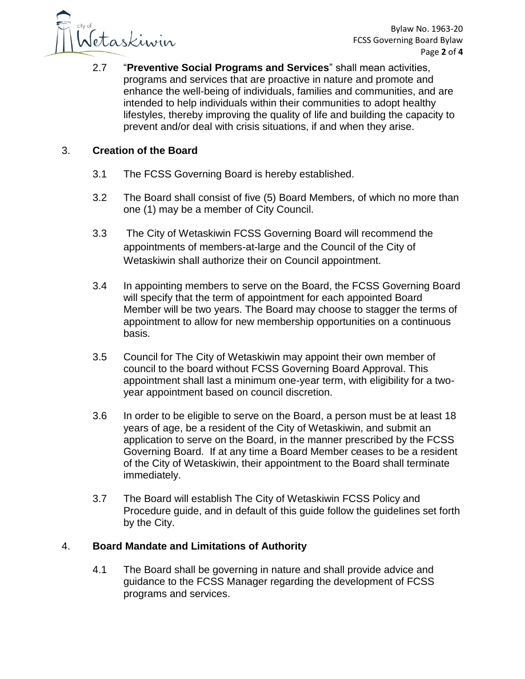

2.7 "**Preventive Social Programs and Services**" shall mean activities, programs and services that are proactive in nature and promote and enhance the well-being of individuals, families and communities, and are intended to help individuals within their communities to adopt healthy lifestyles, thereby improving the quality of life and building the capacity to prevent and/or deal with crisis situations, if and when they arise.

# 3. **Creation of the Board**

- 3.1 The FCSS Governing Board is hereby established.
- 3.2 The Board shall consist of five (5) Board Members, of which no more than one (1) may be a member of City Council.
- 3.3 The City of Wetaskiwin FCSS Governing Board will recommend the appointments of members-at-large and the Council of the City of Wetaskiwin shall authorize their on Council appointment.
- 3.4 In appointing members to serve on the Board, the FCSS Governing Board will specify that the term of appointment for each appointed Board Member will be two years. The Board may choose to stagger the terms of appointment to allow for new membership opportunities on a continuous basis.
- 3.5 Council for The City of Wetaskiwin may appoint their own member of council to the board without FCSS Governing Board Approval. This appointment shall last a minimum one-year term, with eligibility for a twoyear appointment based on council discretion.
- 3.6 In order to be eligible to serve on the Board, a person must be at least 18 years of age, be a resident of the City of Wetaskiwin, and submit an application to serve on the Board, in the manner prescribed by the FCSS Governing Board. If at any time a Board Member ceases to be a resident of the City of Wetaskiwin, their appointment to the Board shall terminate immediately.
- 3.7 The Board will establish The City of Wetaskiwin FCSS Policy and Procedure guide, and in default of this guide follow the guidelines set forth by the City.

## 4. **Board Mandate and Limitations of Authority**

4.1 The Board shall be governing in nature and shall provide advice and guidance to the FCSS Manager regarding the development of FCSS programs and services.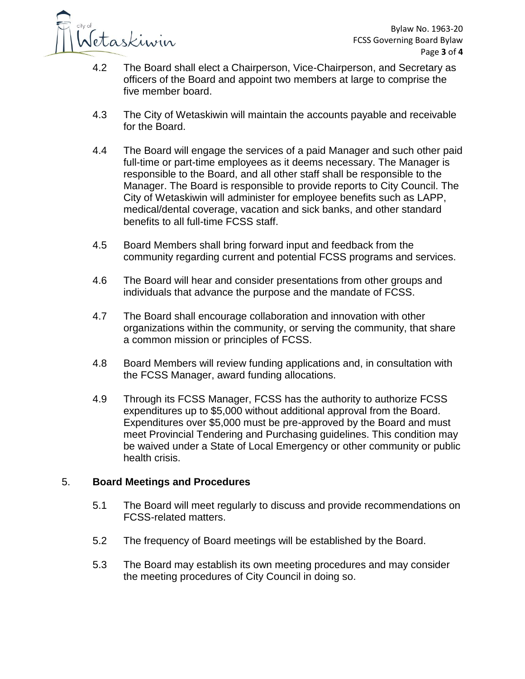

- 4.2 The Board shall elect a Chairperson, Vice-Chairperson, and Secretary as officers of the Board and appoint two members at large to comprise the five member board.
- 4.3 The City of Wetaskiwin will maintain the accounts payable and receivable for the Board.
- 4.4 The Board will engage the services of a paid Manager and such other paid full-time or part-time employees as it deems necessary. The Manager is responsible to the Board, and all other staff shall be responsible to the Manager. The Board is responsible to provide reports to City Council. The City of Wetaskiwin will administer for employee benefits such as LAPP, medical/dental coverage, vacation and sick banks, and other standard benefits to all full-time FCSS staff.
- 4.5 Board Members shall bring forward input and feedback from the community regarding current and potential FCSS programs and services.
- 4.6 The Board will hear and consider presentations from other groups and individuals that advance the purpose and the mandate of FCSS.
- 4.7 The Board shall encourage collaboration and innovation with other organizations within the community, or serving the community, that share a common mission or principles of FCSS.
- 4.8 Board Members will review funding applications and, in consultation with the FCSS Manager, award funding allocations.
- 4.9 Through its FCSS Manager, FCSS has the authority to authorize FCSS expenditures up to \$5,000 without additional approval from the Board. Expenditures over \$5,000 must be pre-approved by the Board and must meet Provincial Tendering and Purchasing guidelines. This condition may be waived under a State of Local Emergency or other community or public health crisis.

## 5. **Board Meetings and Procedures**

- 5.1 The Board will meet regularly to discuss and provide recommendations on FCSS-related matters.
- 5.2 The frequency of Board meetings will be established by the Board.
- 5.3 The Board may establish its own meeting procedures and may consider the meeting procedures of City Council in doing so.